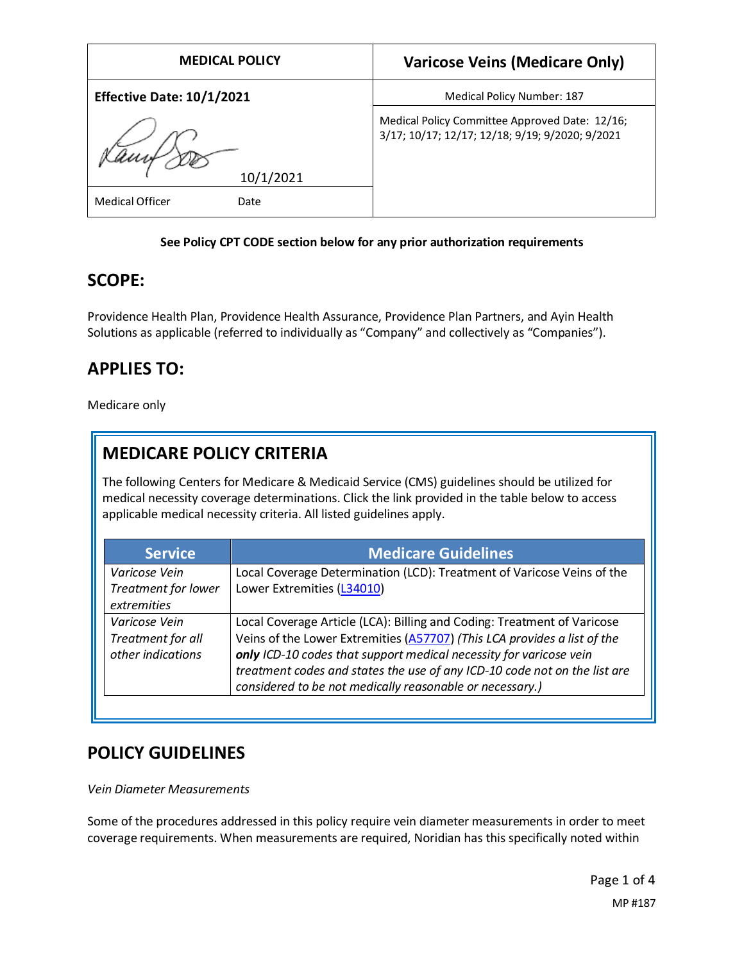| <b>MEDICAL POLICY</b>            | <b>Varicose Veins (Medicare Only)</b>                                                             |
|----------------------------------|---------------------------------------------------------------------------------------------------|
| <b>Effective Date: 10/1/2021</b> | <b>Medical Policy Number: 187</b>                                                                 |
|                                  | Medical Policy Committee Approved Date: 12/16;<br>3/17; 10/17; 12/17; 12/18; 9/19; 9/2020; 9/2021 |
| 10/1/2021                        |                                                                                                   |
| <b>Medical Officer</b><br>Date   |                                                                                                   |

### **See Policy CPT CODE section below for any prior authorization requirements**

## **SCOPE:**

Providence Health Plan, Providence Health Assurance, Providence Plan Partners, and Ayin Health Solutions as applicable (referred to individually as "Company" and collectively as "Companies").

# **APPLIES TO:**

Medicare only

# **MEDICARE POLICY CRITERIA**

The following Centers for Medicare & Medicaid Service (CMS) guidelines should be utilized for medical necessity coverage determinations. Click the link provided in the table below to access applicable medical necessity criteria. All listed guidelines apply.

| <b>Service</b>                                          | <b>Medicare Guidelines</b>                                                                                                                                                                                                                                                                                                                                         |
|---------------------------------------------------------|--------------------------------------------------------------------------------------------------------------------------------------------------------------------------------------------------------------------------------------------------------------------------------------------------------------------------------------------------------------------|
| Varicose Vein<br>Treatment for lower<br>extremities     | Local Coverage Determination (LCD): Treatment of Varicose Veins of the<br>Lower Extremities (L34010)                                                                                                                                                                                                                                                               |
| Varicose Vein<br>Treatment for all<br>other indications | Local Coverage Article (LCA): Billing and Coding: Treatment of Varicose<br>Veins of the Lower Extremities (A57707) (This LCA provides a list of the<br>only ICD-10 codes that support medical necessity for varicose vein<br>treatment codes and states the use of any ICD-10 code not on the list are<br>considered to be not medically reasonable or necessary.) |

## **POLICY GUIDELINES**

*Vein Diameter Measurements*

Some of the procedures addressed in this policy require vein diameter measurements in order to meet coverage requirements. When measurements are required, Noridian has this specifically noted within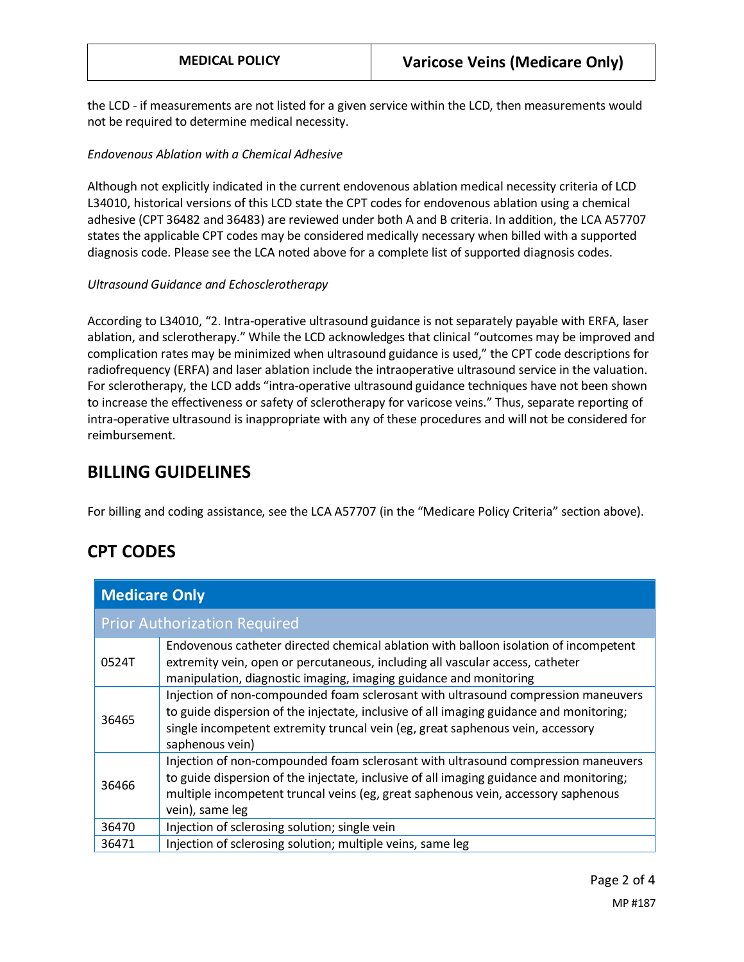the LCD - if measurements are not listed for a given service within the LCD, then measurements would not be required to determine medical necessity.

#### *Endovenous Ablation with a Chemical Adhesive*

Although not explicitly indicated in the current endovenous ablation medical necessity criteria of LCD L34010, historical versions of this LCD state the CPT codes for endovenous ablation using a chemical adhesive (CPT 36482 and 36483) are reviewed under both A and B criteria. In addition, the LCA A57707 states the applicable CPT codes may be considered medically necessary when billed with a supported diagnosis code. Please see the LCA noted above for a complete list of supported diagnosis codes.

#### *Ultrasound Guidance and Echosclerotherapy*

According to L34010, "2. Intra-operative ultrasound guidance is not separately payable with ERFA, laser ablation, and sclerotherapy." While the LCD acknowledges that clinical "outcomes may be improved and complication rates may be minimized when ultrasound guidance is used," the CPT code descriptions for radiofrequency (ERFA) and laser ablation include the intraoperative ultrasound service in the valuation. For sclerotherapy, the LCD adds "intra-operative ultrasound guidance techniques have not been shown to increase the effectiveness or safety of sclerotherapy for varicose veins." Thus, separate reporting of intra-operative ultrasound is inappropriate with any of these procedures and will not be considered for reimbursement.

### **BILLING GUIDELINES**

For billing and coding assistance, see the LCA A57707 (in the "Medicare Policy Criteria" section above).

## **CPT CODES**

| <b>Medicare Only</b>                |                                                                                                                                                                                                                                                                                      |
|-------------------------------------|--------------------------------------------------------------------------------------------------------------------------------------------------------------------------------------------------------------------------------------------------------------------------------------|
| <b>Prior Authorization Required</b> |                                                                                                                                                                                                                                                                                      |
| 0524T                               | Endovenous catheter directed chemical ablation with balloon isolation of incompetent<br>extremity vein, open or percutaneous, including all vascular access, catheter<br>manipulation, diagnostic imaging, imaging guidance and monitoring                                           |
| 36465                               | Injection of non-compounded foam sclerosant with ultrasound compression maneuvers<br>to guide dispersion of the injectate, inclusive of all imaging guidance and monitoring;<br>single incompetent extremity truncal vein (eg, great saphenous vein, accessory<br>saphenous vein)    |
| 36466                               | Injection of non-compounded foam sclerosant with ultrasound compression maneuvers<br>to guide dispersion of the injectate, inclusive of all imaging guidance and monitoring;<br>multiple incompetent truncal veins (eg, great saphenous vein, accessory saphenous<br>vein), same leg |
| 36470                               | Injection of sclerosing solution; single vein                                                                                                                                                                                                                                        |
| 36471                               | Injection of sclerosing solution; multiple veins, same leg                                                                                                                                                                                                                           |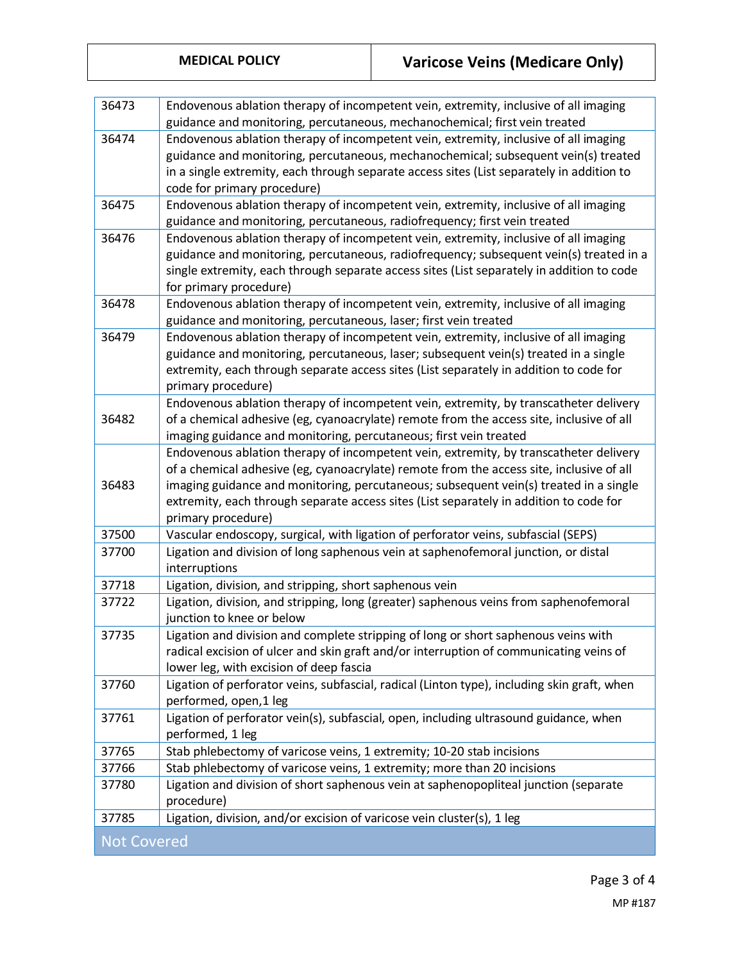| 36473              | Endovenous ablation therapy of incompetent vein, extremity, inclusive of all imaging<br>guidance and monitoring, percutaneous, mechanochemical; first vein treated                                                                                                                                                                                                                         |
|--------------------|--------------------------------------------------------------------------------------------------------------------------------------------------------------------------------------------------------------------------------------------------------------------------------------------------------------------------------------------------------------------------------------------|
| 36474              | Endovenous ablation therapy of incompetent vein, extremity, inclusive of all imaging<br>guidance and monitoring, percutaneous, mechanochemical; subsequent vein(s) treated<br>in a single extremity, each through separate access sites (List separately in addition to<br>code for primary procedure)                                                                                     |
| 36475              | Endovenous ablation therapy of incompetent vein, extremity, inclusive of all imaging<br>guidance and monitoring, percutaneous, radiofrequency; first vein treated                                                                                                                                                                                                                          |
| 36476              | Endovenous ablation therapy of incompetent vein, extremity, inclusive of all imaging<br>guidance and monitoring, percutaneous, radiofrequency; subsequent vein(s) treated in a<br>single extremity, each through separate access sites (List separately in addition to code<br>for primary procedure)                                                                                      |
| 36478              | Endovenous ablation therapy of incompetent vein, extremity, inclusive of all imaging<br>guidance and monitoring, percutaneous, laser; first vein treated                                                                                                                                                                                                                                   |
| 36479              | Endovenous ablation therapy of incompetent vein, extremity, inclusive of all imaging<br>guidance and monitoring, percutaneous, laser; subsequent vein(s) treated in a single<br>extremity, each through separate access sites (List separately in addition to code for<br>primary procedure)                                                                                               |
| 36482              | Endovenous ablation therapy of incompetent vein, extremity, by transcatheter delivery<br>of a chemical adhesive (eg, cyanoacrylate) remote from the access site, inclusive of all<br>imaging guidance and monitoring, percutaneous; first vein treated                                                                                                                                     |
| 36483              | Endovenous ablation therapy of incompetent vein, extremity, by transcatheter delivery<br>of a chemical adhesive (eg, cyanoacrylate) remote from the access site, inclusive of all<br>imaging guidance and monitoring, percutaneous; subsequent vein(s) treated in a single<br>extremity, each through separate access sites (List separately in addition to code for<br>primary procedure) |
| 37500              | Vascular endoscopy, surgical, with ligation of perforator veins, subfascial (SEPS)                                                                                                                                                                                                                                                                                                         |
| 37700              | Ligation and division of long saphenous vein at saphenofemoral junction, or distal<br>interruptions                                                                                                                                                                                                                                                                                        |
| 37718              | Ligation, division, and stripping, short saphenous vein                                                                                                                                                                                                                                                                                                                                    |
| 37722              | Ligation, division, and stripping, long (greater) saphenous veins from saphenofemoral<br>junction to knee or below                                                                                                                                                                                                                                                                         |
| 37735              | Ligation and division and complete stripping of long or short saphenous veins with<br>radical excision of ulcer and skin graft and/or interruption of communicating veins of<br>lower leg, with excision of deep fascia                                                                                                                                                                    |
| 37760              | Ligation of perforator veins, subfascial, radical (Linton type), including skin graft, when<br>performed, open,1 leg                                                                                                                                                                                                                                                                       |
| 37761              | Ligation of perforator vein(s), subfascial, open, including ultrasound guidance, when<br>performed, 1 leg                                                                                                                                                                                                                                                                                  |
| 37765              | Stab phlebectomy of varicose veins, 1 extremity; 10-20 stab incisions                                                                                                                                                                                                                                                                                                                      |
| 37766              | Stab phlebectomy of varicose veins, 1 extremity; more than 20 incisions                                                                                                                                                                                                                                                                                                                    |
| 37780              | Ligation and division of short saphenous vein at saphenopopliteal junction (separate<br>procedure)                                                                                                                                                                                                                                                                                         |
| 37785              | Ligation, division, and/or excision of varicose vein cluster(s), 1 leg                                                                                                                                                                                                                                                                                                                     |
| <b>Not Covered</b> |                                                                                                                                                                                                                                                                                                                                                                                            |